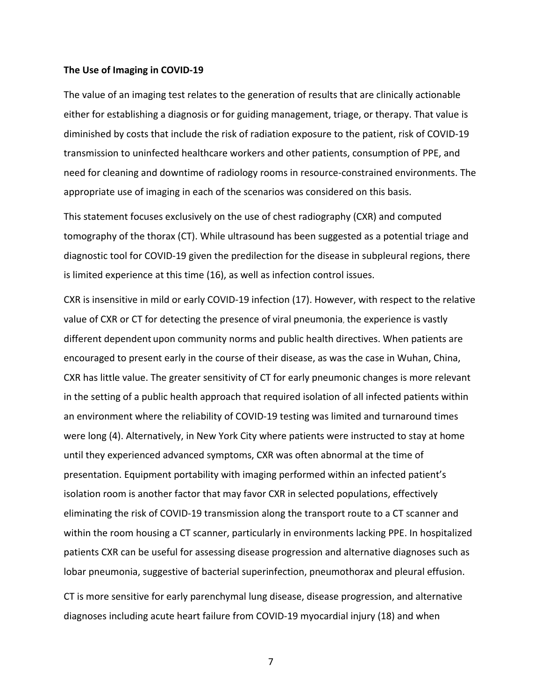### **The Use of Imaging in COVID-19**

The value of an imaging test relates to the generation of results that are clinically actionable either for establishing a diagnosis or for guiding management, triage, or therapy. That value is diminished by costs that include the risk of radiation exposure to the patient, risk of COVID-19 transmission to uninfected healthcare workers and other patients, consumption of PPE, and need for cleaning and downtime of radiology rooms in resource-constrained environments. The appropriate use of imaging in each of the scenarios was considered on this basis.

This statement focuses exclusively on the use of chest radiography (CXR) and computed tomography of the thorax (CT). While ultrasound has been suggested as a potential triage and diagnostic tool for COVID-19 given the predilection for the disease in subpleural regions, there is limited experience at this time (16), as well as infection control issues.

elicit of escalabing a longitude of redictions and productions and productions (and the productions) and the productions productions and the productions and the productions of the production of PPE, and need for classing a CXR is insensitive in mild or early COVID-19 infection (17). However, with respect to the relative value of CXR or CT for detecting the presence of viral pneumonia, the experience is vastly different dependent upon community norms and public health directives. When patients are encouraged to present early in the course of their disease, as was the case in Wuhan, China, CXR has little value. The greater sensitivity of CT for early pneumonic changes is more relevant in the setting of a public health approach that required isolation of all infected patients within an environment where the reliability of COVID-19 testing was limited and turnaround times were long (4). Alternatively, in New York City where patients were instructed to stay at home until they experienced advanced symptoms, CXR was often abnormal at the time of presentation. Equipment portability with imaging performed within an infected patient's isolation room is another factor that may favor CXR in selected populations, effectively eliminating the risk of COVID-19 transmission along the transport route to a CT scanner and within the room housing a CT scanner, particularly in environments lacking PPE. In hospitalized patients CXR can be useful for assessing disease progression and alternative diagnoses such as lobar pneumonia, suggestive of bacterial superinfection, pneumothorax and pleural effusion.

CT is more sensitive for early parenchymal lung disease, disease progression, and alternative diagnoses including acute heart failure from COVID-19 myocardial injury (18) and when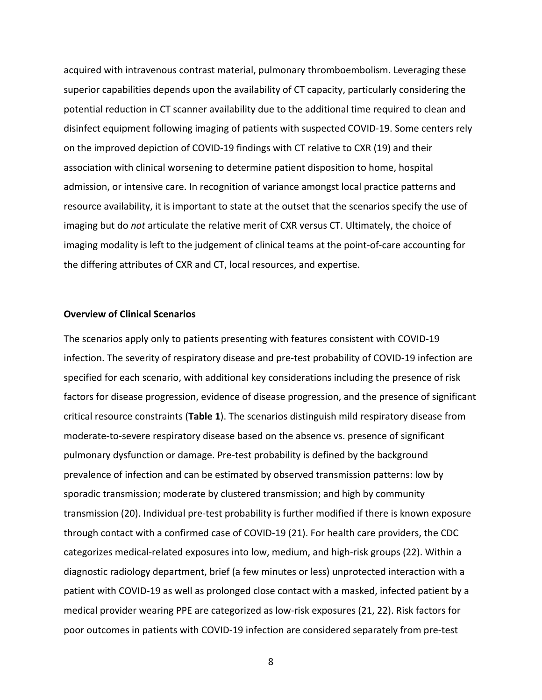acquired with intravenous contrast material, pulmonary thromboembolism. Leveraging these superior capabilities depends upon the availability of CT capacity, particularly considering the potential reduction in CT scanner availability due to the additional time required to clean and disinfect equipment following imaging of patients with suspected COVID-19. Some centers rely on the improved depiction of COVID-19 findings with CT relative to CXR (19) and their association with clinical worsening to determine patient disposition to home, hospital admission, or intensive care. In recognition of variance amongst local practice patterns and resource availability, it is important to state at the outset that the scenarios specify the use of imaging but do *not* articulate the relative merit of CXR versus CT. Ultimately, the choice of imaging modality is left to the judgement of clinical teams at the point-of-care accounting for the differing attributes of CXR and CT, local resources, and expertise.

### **Overview of Clinical Scenarios**

disinfect equipment following imaging of patients with suspected COVID-19. Some centers rely<br>on the improved depiction of COVID-19 findings with CT relative to CXR (19) and their<br>association with clinical voorsening to det The scenarios apply only to patients presenting with features consistent with COVID-19 infection. The severity of respiratory disease and pre-test probability of COVID-19 infection are specified for each scenario, with additional key considerations including the presence of risk factors for disease progression, evidence of disease progression, and the presence of significant critical resource constraints (**Table 1**). The scenarios distinguish mild respiratory disease from moderate-to-severe respiratory disease based on the absence vs. presence of significant pulmonary dysfunction or damage. Pre-test probability is defined by the background prevalence of infection and can be estimated by observed transmission patterns: low by sporadic transmission; moderate by clustered transmission; and high by community transmission (20). Individual pre-test probability is further modified if there is known exposure through contact with a confirmed case of COVID-19 (21). For health care providers, the CDC categorizes medical-related exposures into low, medium, and high-risk groups (22). Within a diagnostic radiology department, brief (a few minutes or less) unprotected interaction with a patient with COVID-19 as well as prolonged close contact with a masked, infected patient by a medical provider wearing PPE are categorized as low-risk exposures (21, 22). Risk factors for poor outcomes in patients with COVID-19 infection are considered separately from pre-test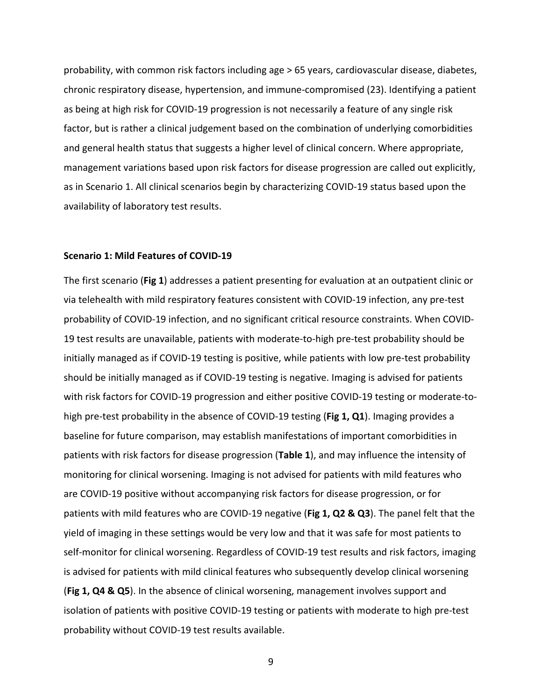probability, with common risk factors including age > 65 years, cardiovascular disease, diabetes, chronic respiratory disease, hypertension, and immune-compromised (23). Identifying a patient as being at high risk for COVID-19 progression is not necessarily a feature of any single risk factor, but is rather a clinical judgement based on the combination of underlying comorbidities and general health status that suggests a higher level of clinical concern. Where appropriate, management variations based upon risk factors for disease progression are called out explicitly, as in Scenario 1. All clinical scenarios begin by characterizing COVID-19 status based upon the availability of laboratory test results.

#### **Scenario 1: Mild Features of COVID-19**

factor, but is rather a clinical judgement based on the combination of underlying comorbidities<br>and general health status that suggests a higher level of clinical concern. Where appropriate,<br>management variations based upo The first scenario (**Fig 1**) addresses a patient presenting for evaluation at an outpatient clinic or via telehealth with mild respiratory features consistent with COVID-19 infection, any pre-test probability of COVID-19 infection, and no significant critical resource constraints. When COVID-19 test results are unavailable, patients with moderate-to-high pre-test probability should be initially managed as if COVID-19 testing is positive, while patients with low pre-test probability should be initially managed as if COVID-19 testing is negative. Imaging is advised for patients with risk factors for COVID-19 progression and either positive COVID-19 testing or moderate-tohigh pre-test probability in the absence of COVID-19 testing (**Fig 1, Q1**). Imaging provides a baseline for future comparison, may establish manifestations of important comorbidities in patients with risk factors for disease progression (**Table 1**), and may influence the intensity of monitoring for clinical worsening. Imaging is not advised for patients with mild features who are COVID-19 positive without accompanying risk factors for disease progression, or for patients with mild features who are COVID-19 negative (**Fig 1, Q2 & Q3**). The panel felt that the yield of imaging in these settings would be very low and that it was safe for most patients to self-monitor for clinical worsening. Regardless of COVID-19 test results and risk factors, imaging is advised for patients with mild clinical features who subsequently develop clinical worsening (**Fig 1, Q4 & Q5**). In the absence of clinical worsening, management involves support and isolation of patients with positive COVID-19 testing or patients with moderate to high pre-test probability without COVID-19 test results available.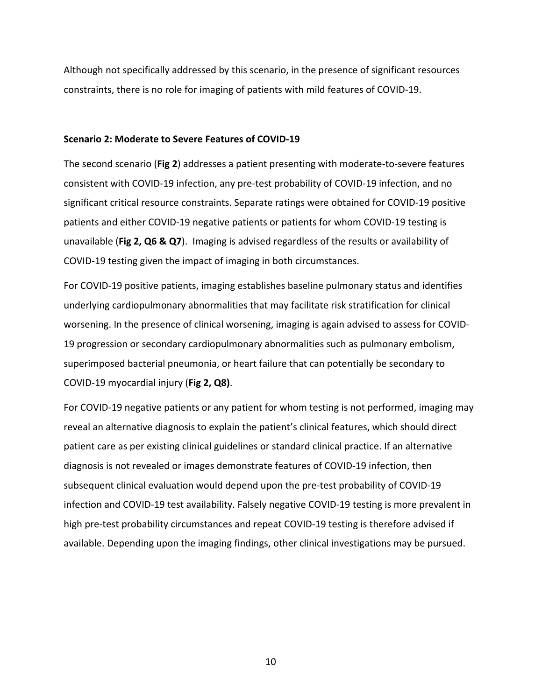Although not specifically addressed by this scenario, in the presence of significant resources constraints, there is no role for imaging of patients with mild features of COVID-19.

#### **Scenario 2: Moderate to Severe Features of COVID-19**

The second scenario (**Fig 2**) addresses a patient presenting with moderate-to-severe features consistent with COVID-19 infection, any pre-test probability of COVID-19 infection, and no significant critical resource constraints. Separate ratings were obtained for COVID-19 positive patients and either COVID-19 negative patients or patients for whom COVID-19 testing is unavailable (**Fig 2, Q6 & Q7**). Imaging is advised regardless of the results or availability of COVID-19 testing given the impact of imaging in both circumstances.

For COVID-19 positive patients, imaging establishes baseline pulmonary status and identifies underlying cardiopulmonary abnormalities that may facilitate risk stratification for clinical worsening. In the presence of clinical worsening, imaging is again advised to assess for COVID-19 progression or secondary cardiopulmonary abnormalities such as pulmonary embolism, superimposed bacterial pneumonia, or heart failure that can potentially be secondary to COVID-19 myocardial injury (**Fig 2, Q8)**.

Scenario 2: Moderate to Severe Features of COVID-19<br>The second scenario (Fig 2) addresses a patient presenting with moderate-to-severe features<br>consistent with COVID-19 infection, any pre-test probability of COVID-19 infec For COVID-19 negative patients or any patient for whom testing is not performed, imaging may reveal an alternative diagnosis to explain the patient's clinical features, which should direct patient care as per existing clinical guidelines or standard clinical practice. If an alternative diagnosis is not revealed or images demonstrate features of COVID-19 infection, then subsequent clinical evaluation would depend upon the pre-test probability of COVID-19 infection and COVID-19 test availability. Falsely negative COVID-19 testing is more prevalent in high pre-test probability circumstances and repeat COVID-19 testing is therefore advised if available. Depending upon the imaging findings, other clinical investigations may be pursued.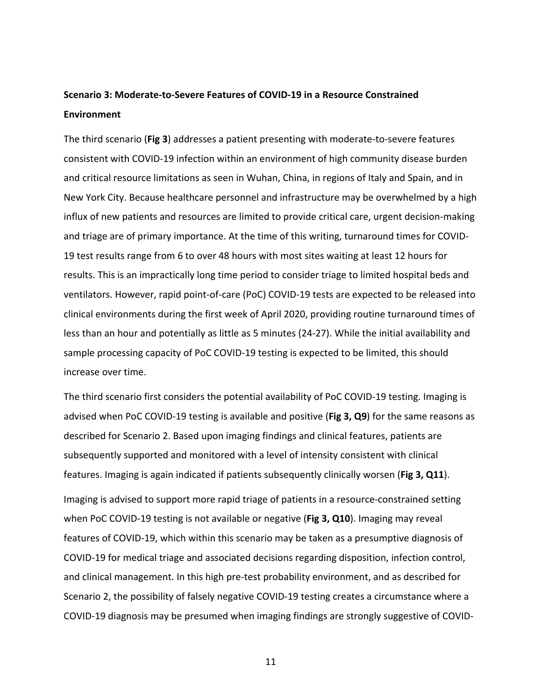# **Scenario 3: Moderate-to-Severe Features of COVID-19 in a Resource Constrained Environment**

Enterind scenario (Fig 3) addresses a patient presenting with moderate-to-severe features<br>The third scenario (Fig 3) addresses a patient presenting with moderate-to-severe features<br>consistent with COVID-19 infection within The third scenario (**Fig 3**) addresses a patient presenting with moderate-to-severe features consistent with COVID-19 infection within an environment of high community disease burden and critical resource limitations as seen in Wuhan, China, in regions of Italy and Spain, and in New York City. Because healthcare personnel and infrastructure may be overwhelmed by a high influx of new patients and resources are limited to provide critical care, urgent decision-making and triage are of primary importance. At the time of this writing, turnaround times for COVID-19 test results range from 6 to over 48 hours with most sites waiting at least 12 hours for results. This is an impractically long time period to consider triage to limited hospital beds and ventilators. However, rapid point-of-care (PoC) COVID-19 tests are expected to be released into clinical environments during the first week of April 2020, providing routine turnaround times of less than an hour and potentially as little as 5 minutes (24-27). While the initial availability and sample processing capacity of PoC COVID-19 testing is expected to be limited, this should increase over time.

The third scenario first considers the potential availability of PoC COVID-19 testing. Imaging is advised when PoC COVID-19 testing is available and positive (**Fig 3, Q9**) for the same reasons as described for Scenario 2. Based upon imaging findings and clinical features, patients are subsequently supported and monitored with a level of intensity consistent with clinical features. Imaging is again indicated if patients subsequently clinically worsen (**Fig 3, Q11**).

Imaging is advised to support more rapid triage of patients in a resource-constrained setting when PoC COVID-19 testing is not available or negative (**Fig 3, Q10**). Imaging may reveal features of COVID-19, which within this scenario may be taken as a presumptive diagnosis of COVID-19 for medical triage and associated decisions regarding disposition, infection control, and clinical management. In this high pre-test probability environment, and as described for Scenario 2, the possibility of falsely negative COVID-19 testing creates a circumstance where a COVID-19 diagnosis may be presumed when imaging findings are strongly suggestive of COVID-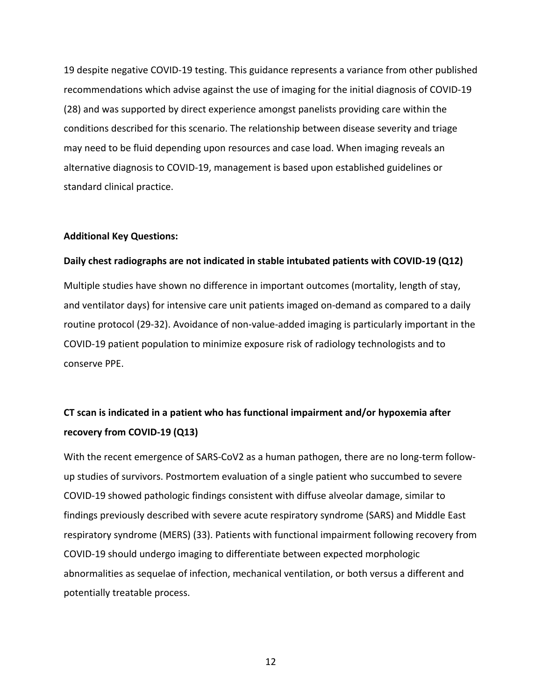19 despite negative COVID-19 testing. This guidance represents a variance from other published recommendations which advise against the use of imaging for the initial diagnosis of COVID-19 (28) and was supported by direct experience amongst panelists providing care within the conditions described for this scenario. The relationship between disease severity and triage may need to be fluid depending upon resources and case load. When imaging reveals an alternative diagnosis to COVID-19, management is based upon established guidelines or standard clinical practice.

### **Additional Key Questions:**

### **Daily chest radiographs are not indicated in stable intubated patients with COVID-19 (Q12)**

Multiple studies have shown no difference in important outcomes (mortality, length of stay, and ventilator days) for intensive care unit patients imaged on-demand as compared to a daily routine protocol (29-32). Avoidance of non-value-added imaging is particularly important in the COVID-19 patient population to minimize exposure risk of radiology technologists and to conserve PPE.

# **CT scan is indicated in a patient who has functional impairment and/or hypoxemia after recovery from COVID-19 (Q13)**

conditions described for this scenario. The relationship between disease severity and triage<br>may need to be fluid depending upon resources and case load. When imaging reveals an<br>alternative diagnosis to COVID-19, managemen With the recent emergence of SARS-CoV2 as a human pathogen, there are no long-term followup studies of survivors. Postmortem evaluation of a single patient who succumbed to severe COVID-19 showed pathologic findings consistent with diffuse alveolar damage, similar to findings previously described with severe acute respiratory syndrome (SARS) and Middle East respiratory syndrome (MERS) (33). Patients with functional impairment following recovery from COVID-19 should undergo imaging to differentiate between expected morphologic abnormalities as sequelae of infection, mechanical ventilation, or both versus a different and potentially treatable process.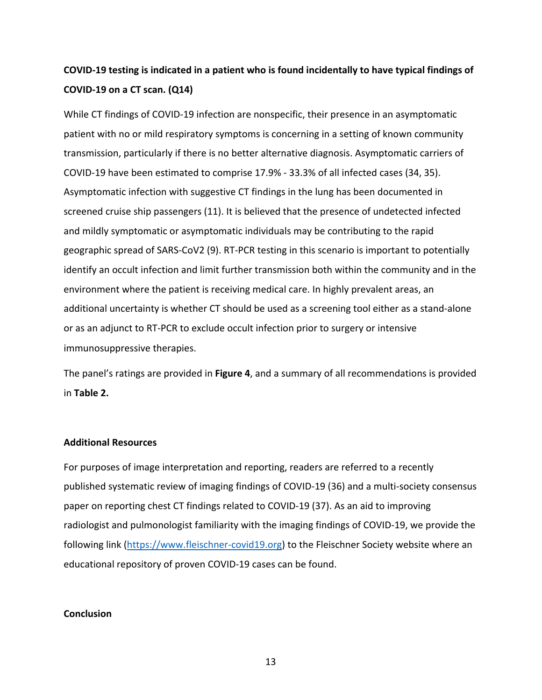# **COVID-19 testing is indicated in a patient who is found incidentally to have typical findings of COVID-19 on a CT scan. (Q14)**

structure i[n](https://www.fleischner-covid19.org/) the matter of the matter of the matter of the presence in an asymptom state of the product particle of the matter of the matter of the matter of the matter of the matter of the matter of the matter of the matt While CT findings of COVID-19 infection are nonspecific, their presence in an asymptomatic patient with no or mild respiratory symptoms is concerning in a setting of known community transmission, particularly if there is no better alternative diagnosis. Asymptomatic carriers of COVID-19 have been estimated to comprise 17.9% - 33.3% of all infected cases (34, 35). Asymptomatic infection with suggestive CT findings in the lung has been documented in screened cruise ship passengers (11). It is believed that the presence of undetected infected and mildly symptomatic or asymptomatic individuals may be contributing to the rapid geographic spread of SARS-CoV2 (9). RT-PCR testing in this scenario is important to potentially identify an occult infection and limit further transmission both within the community and in the environment where the patient is receiving medical care. In highly prevalent areas, an additional uncertainty is whether CT should be used as a screening tool either as a stand-alone or as an adjunct to RT-PCR to exclude occult infection prior to surgery or intensive immunosuppressive therapies.

The panel's ratings are provided in **Figure 4**, and a summary of all recommendations is provided in **Table 2.**

### **Additional Resources**

For purposes of image interpretation and reporting, readers are referred to a recently published systematic review of imaging findings of COVID-19 (36) and a multi-society consensus paper on reporting chest CT findings related to COVID-19 (37). As an aid to improving radiologist and pulmonologist familiarity with the imaging findings of COVID-19, we provide the following link (https://www.fleischner-covid19.org) to the Fleischner Society website where an educational repository of proven COVID-19 cases can be found.

### **Conclusion**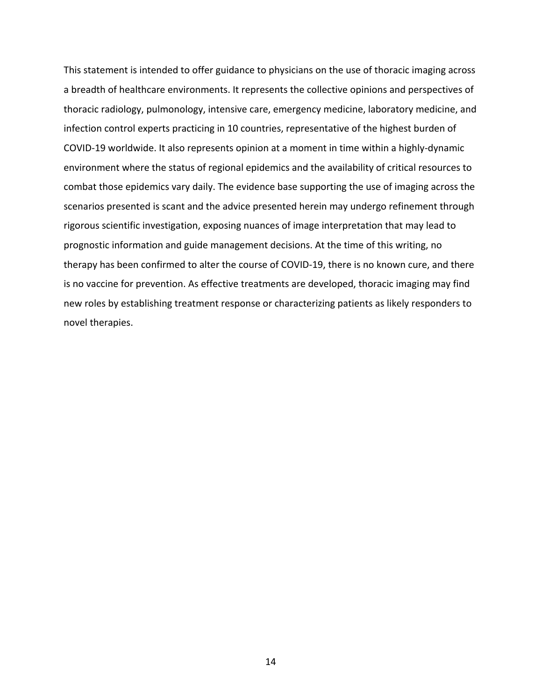infection control experts practicing in 10 coontries, representative of the highest burden of<br>COVID-19 worldwide. It also represents opinion at a moment in time within a highly-dynamic<br>environment where the status of regio This statement is intended to offer guidance to physicians on the use of thoracic imaging across a breadth of healthcare environments. It represents the collective opinions and perspectives of thoracic radiology, pulmonology, intensive care, emergency medicine, laboratory medicine, and infection control experts practicing in 10 countries, representative of the highest burden of COVID-19 worldwide. It also represents opinion at a moment in time within a highly-dynamic environment where the status of regional epidemics and the availability of critical resources to combat those epidemics vary daily. The evidence base supporting the use of imaging across the scenarios presented is scant and the advice presented herein may undergo refinement through rigorous scientific investigation, exposing nuances of image interpretation that may lead to prognostic information and guide management decisions. At the time of this writing, no therapy has been confirmed to alter the course of COVID-19, there is no known cure, and there is no vaccine for prevention. As effective treatments are developed, thoracic imaging may find new roles by establishing treatment response or characterizing patients as likely responders to novel therapies.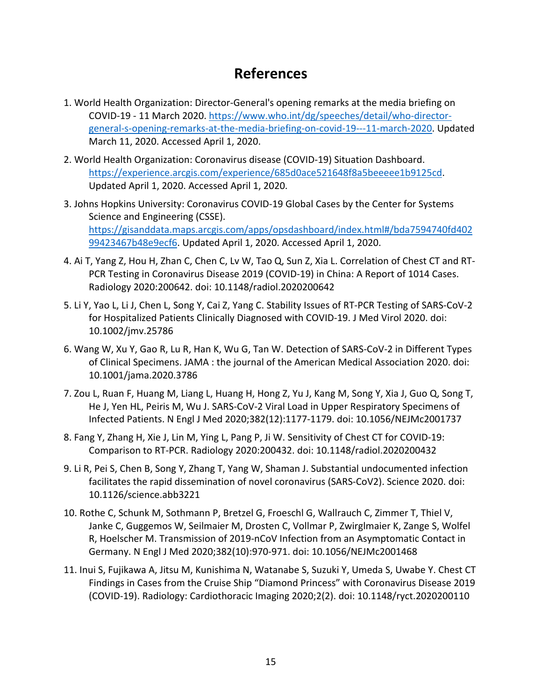# **References**

- 1. World Health Organization: Director-General's opening remarks at the media briefing on COVID-19 - 11 March 2020. [https://www.who.int/dg/speeches/detail/who-director](https://www.who.int/dg/speeches/detail/who-director-general-s-opening-remarks-at-the-media-briefing-on-covid-19---11-march-2020)general-s-opening-remarks-at-the-media-briefing-on-covid-19---11-march-2020. Updated March 11, 2020. Accessed April 1, 2020.
- 2. World Health Organization: Coronavirus disease (COVID-19) Situation Dashboard. https://experience.arcgis.com/experience/685d0ace521648f8a5beeeee1b9125cd. Updated April 1, 2020. Accessed April 1, 2020.
- 3. Johns Hopkins University: Coronavirus COVID-19 Global Cases by the Center for Systems Science and Engineering (CSSE). https://gisanddata.maps.arcgis.com/apps/opsdashboard/index.html#/bda7594740fd402 99423467b48e9ecf6. Updated April 1, 2020. Accessed April 1, 2020.
- 4. Ai T, Yang Z, Hou H, Zhan C, Chen C, Lv W, Tao Q, Sun Z, Xia L. Correlation of Chest CT and RT-PCR Testing in Coronavirus Disease 2019 (COVID-19) in China: A Report of 1014 Cases. Radiology 2020:200642. doi: 10.1148/radiol.2020200642
- 5. Li Y, Yao L, Li J, Chen L, Song Y, Cai Z, Yang C. Stability Issues of RT-PCR Testing of SARS-CoV-2 for Hospitalized Patients Clinically Diagnosed with COVID-19. J Med Virol 2020. doi: 10.1002/jmv.25786
- 6. Wang W, Xu Y, Gao R, Lu R, Han K, Wu G, Tan W. Detection of SARS-CoV-2 in Different Types of Clinical Specimens. JAMA : the journal of the American Medical Association 2020. doi: 10.1001/jama.2020.3786
- 7. Zou L, Ruan F, Huang M, Liang L, Huang H, Hong Z, Yu J, Kang M, Song Y, Xia J, Guo Q, Song T, He J, Yen HL, Peiris M, Wu J. SARS-CoV-2 Viral Load in Upper Respiratory Specimens of Infected Patients. N Engl J Med 2020;382(12):1177-1179. doi: 10.1056/NEJMc2001737
- 8. Fang Y, Zhang H, Xie J, Lin M, Ying L, Pang P, Ji W. Sensitivity of Chest CT for COVID-19: Comparison to RT-PCR. Radiology 2020:200432. doi: 10.1148/radiol.2020200432
- 9. Li R, Pei S, Chen B, Song Y, Zhang T, Yang W, Shaman J. Substantial undocumented infection facilitates the rapid dissemination of novel coronavirus (SARS-CoV2). Science 2020. doi: 10.1126/science.abb3221
- COUCH 23 11 WARD ROAD (IIIS/2000042<br>
Manual Agosta Cool (IIS/20000042) (IIS/20000042) (IIS/200001)<br>
Manual Agosta Cool (III) (12) (20). Acc[ess](https://gisanddata.maps.arcgis.com/apps/opsdashboard/index.html#/bda7594740fd40299423467b48e9ecf6)ed Appli 1, 2020.<br>
2. World Health Organization: Coronalizing discussions (CO 10. Rothe C, Schunk M, Sothmann P, Bretzel G, Froeschl G, Wallrauch C, Zimmer T, Thiel V, Janke C, Guggemos W, Seilmaier M, Drosten C, Vollmar P, Zwirglmaier K, Zange S, Wolfel R, Hoelscher M. Transmission of 2019-nCoV Infection from an Asymptomatic Contact in Germany. N Engl J Med 2020;382(10):970-971. doi: 10.1056/NEJMc2001468
	- 11. Inui S, Fujikawa A, Jitsu M, Kunishima N, Watanabe S, Suzuki Y, Umeda S, Uwabe Y. Chest CT Findings in Cases from the Cruise Ship "Diamond Princess" with Coronavirus Disease 2019 (COVID-19). Radiology: Cardiothoracic Imaging 2020;2(2). doi: 10.1148/ryct.2020200110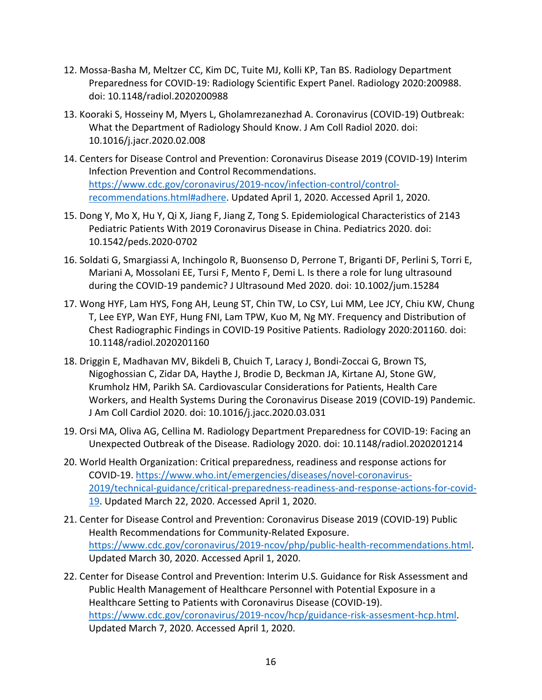- 12. Mossa-Basha M, Meltzer CC, Kim DC, Tuite MJ, Kolli KP, Tan BS. Radiology Department Preparedness for COVID-19: Radiology Scientific Expert Panel. Radiology 2020:200988. doi: 10.1148/radiol.2020200988
- 13. Kooraki S, Hosseiny M, Myers L, Gholamrezanezhad A. Coronavirus (COVID-19) Outbreak: What the Department of Radiology Should Know. J Am Coll Radiol 2020. doi: 10.1016/j.jacr.2020.02.008
- 14. Centers for Disease Control and Prevention: Coronavirus Disease 2019 (COVID-19) Interim Infection Prevention and Control Recommendations. https://www.cdc.gov/coronavirus/2019-ncov/infection-control/controlrecommendations.html#adhere. Updated April 1, 2020. Accessed April 1, 2020.
- 15. Dong Y, Mo X, Hu Y, Qi X, Jiang F, Jiang Z, Tong S. Epidemiological Characteristics of 2143 Pediatric Patients With 2019 Coronavirus Disease in China. Pediatrics 2020. doi: 10.1542/peds.2020-0702
- 16. Soldati G, Smargiassi A, Inchingolo R, Buonsenso D, Perrone T, Briganti DF, Perlini S, Torri E, Mariani A, Mossolani EE, Tursi F, Mento F, Demi L. Is there a role for lung ultrasound during the COVID-19 pandemic? J Ultrasound Med 2020. doi: 10.1002/jum.15284
- 17. Wong HYF, Lam HYS, Fong AH, Leung ST, Chin TW, Lo CSY, Lui MM, Lee JCY, Chiu KW, Chung T, Lee EYP, Wan EYF, Hung FNI, Lam TPW, Kuo M, Ng MY. Frequency and Distribution of Chest Radiographic Findings in COVID-19 Positive Patients. Radiology 2020:201160. doi: 10.1148/radiol.2020201160
- [ss](https://www.cdc.gov/coronavirus/2019-ncov/infection-control/control-recommendations.html#adhere), woodsays, roosen (meet in Color) and Karoline and Karoline (2000-15) outlets.<br>
What the Department of Radiology Bhould Know J. Am Coll Radiol 2020, doi:<br>
10.1016/jaer. 2020.02.208<br>
14. Centers for Disease Control and P 18. Driggin E, Madhavan MV, Bikdeli B, Chuich T, Laracy J, Bondi-Zoccai G, Brown TS, Nigoghossian C, Zidar DA, Haythe J, Brodie D, Beckman JA, Kirtane AJ, Stone GW, Krumholz HM, Parikh SA. Cardiovascular Considerations for Patients, Health Care Workers, and Health Systems During the Coronavirus Disease 2019 (COVID-19) Pandemic. J Am Coll Cardiol 2020. doi: 10.1016/j.jacc.2020.03.031
	- 19. Orsi MA, Oliva AG, Cellina M. Radiology Department Preparedness for COVID-19: Facing an Unexpected Outbreak of the Disease. Radiology 2020. doi: 10.1148/radiol.2020201214
	- 20. World Health Organization: Critical preparedness, readiness and response actions for COVID-19. https://www.who.int/emergencies/diseases/novel-coronavirus-2019/technical-guidance/critical-preparedness-readiness-and-response-actions-for-covid-19. Updated March 22, 2020. Accessed April 1, 2020.
	- 21. Center for Disease Control and Prevention: Coronavirus Disease 2019 (COVID-19) Public Health Recommendations for Community-Related Exposure. https://www.cdc.gov/coronavirus/2019-ncov/php/public-health-recommendations.html. Updated March 30, 2020. Accessed April 1, 2020.
	- 22. Center for Disease Control and Prevention: Interim U.S. Guidance for Risk Assessment and Public Health Management of Healthcare Personnel with Potential Exposure in a Healthcare Setting to Patients with Coronavirus Disease (COVID-19). [https://www.cdc.gov/coronavirus/2019-ncov/hcp/guidance-risk-assesment-hcp.html.](https://www.cdc.gov/coronavirus/2019-ncov/hcp/guidance-risk-assesment-hcp.html) Updated March 7, 2020. Accessed April 1, 2020.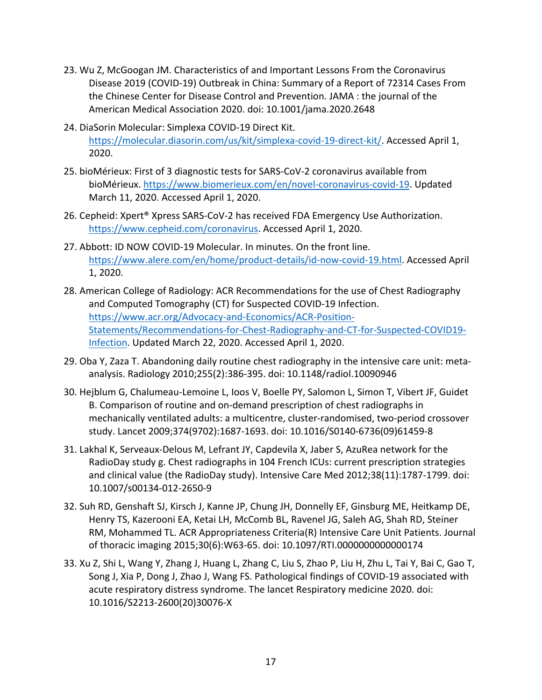- 23. Wu Z, McGoogan JM. Characteristics of and Important Lessons From the Coronavirus Disease 2019 (COVID-19) Outbreak in China: Summary of a Report of 72314 Cases From the Chinese Center for Disease Control and Prevention. JAMA : the journal of the American Medical Association 2020. doi: 10.1001/jama.2020.2648
- 24. DiaSorin Molecular: Simplexa COVID-19 Direct Kit. https://molecular.diasorin.com/us/kit/simplexa-covid-19-direct-kit/. Accessed April 1, 2020.
- 25. bioMérieux: First of 3 diagnostic tests for SARS-CoV-2 coronavirus available from bioMérieux. https://www.biomerieux.com/en/novel-coronavirus-covid-19. Updated March 11, 2020. Accessed April 1, 2020.
- 26. Cepheid: Xpert® Xpress SARS-CoV-2 has received FDA Emergency Use Authorization. https://www.cepheid.com/coronavirus. Accessed April 1, 2020.
- 27. Abbott: ID NOW COVID-19 Molecular. In minutes. On the front line. https://www.alere.com/en/home/product-details/id-now-covid-19.html. Accessed April 1, 2020.
- 24. Dustarin Molecular: Simplexa COVID-19 Di[re](https://www.acr.org/Advocacy-and-Economics/ACR-Position-Statements/Recommendations-for-Chest-Radiography-and-CT-for-Suspected-COVID19-Infection)ct KR.<br>
Interaction Comparison Covid-19-direct-kittle Acce[ss](https://www.biomerieux.com/en/novel-coronavirus-covid-19)ed April 1,<br>
2020.<br>
225. bioloficiesus: First of Molecular Govid-Cores (Fig. 2020)<br>
225. bioloficiesus: https://www. 28. American College of Radiology: ACR Recommendations for the use of Chest Radiography and Computed Tomography (CT) for Suspected COVID-19 Infection. https://www.acr.org/Advocacy-and-Economics/ACR-Position-Statements/Recommendations-for-Chest-Radiography-and-CT-for-Suspected-COVID19- Infection. Updated March 22, 2020. Accessed April 1, 2020.
	- 29. Oba Y, Zaza T. Abandoning daily routine chest radiography in the intensive care unit: metaanalysis. Radiology 2010;255(2):386-395. doi: 10.1148/radiol.10090946
	- 30. Hejblum G, Chalumeau-Lemoine L, Ioos V, Boelle PY, Salomon L, Simon T, Vibert JF, Guidet B. Comparison of routine and on-demand prescription of chest radiographs in mechanically ventilated adults: a multicentre, cluster-randomised, two-period crossover study. Lancet 2009;374(9702):1687-1693. doi: 10.1016/S0140-6736(09)61459-8
	- 31. Lakhal K, Serveaux-Delous M, Lefrant JY, Capdevila X, Jaber S, AzuRea network for the RadioDay study g. Chest radiographs in 104 French ICUs: current prescription strategies and clinical value (the RadioDay study). Intensive Care Med 2012;38(11):1787-1799. doi: 10.1007/s00134-012-2650-9
	- 32. Suh RD, Genshaft SJ, Kirsch J, Kanne JP, Chung JH, Donnelly EF, Ginsburg ME, Heitkamp DE, Henry TS, Kazerooni EA, Ketai LH, McComb BL, Ravenel JG, Saleh AG, Shah RD, Steiner RM, Mohammed TL. ACR Appropriateness Criteria(R) Intensive Care Unit Patients. Journal of thoracic imaging 2015;30(6):W63-65. doi: 10.1097/RTI.0000000000000174
	- 33. Xu Z, Shi L, Wang Y, Zhang J, Huang L, Zhang C, Liu S, Zhao P, Liu H, Zhu L, Tai Y, Bai C, Gao T, Song J, Xia P, Dong J, Zhao J, Wang FS. Pathological findings of COVID-19 associated with acute respiratory distress syndrome. The lancet Respiratory medicine 2020. doi: 10.1016/S2213-2600(20)30076-X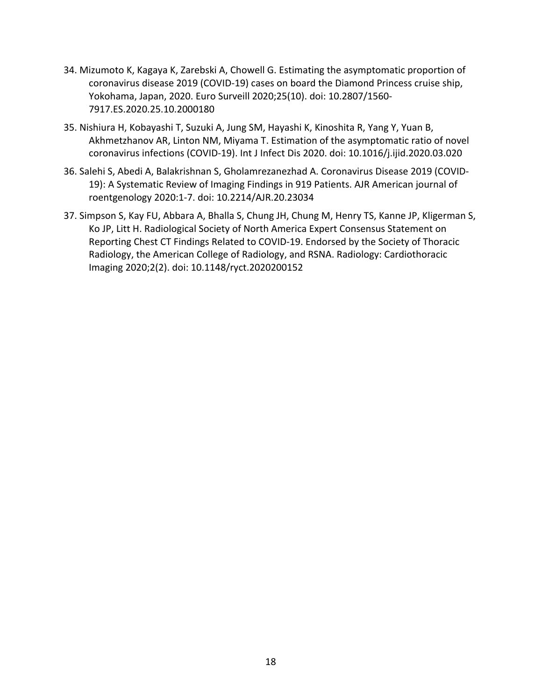- 34. Mizumoto K, Kagaya K, Zarebski A, Chowell G. Estimating the asymptomatic proportion of coronavirus disease 2019 (COVID-19) cases on board the Diamond Princess cruise ship, Yokohama, Japan, 2020. Euro Surveill 2020;25(10). doi: 10.2807/1560- 7917.ES.2020.25.10.2000180
- 35. Nishiura H, Kobayashi T, Suzuki A, Jung SM, Hayashi K, Kinoshita R, Yang Y, Yuan B, Akhmetzhanov AR, Linton NM, Miyama T. Estimation of the asymptomatic ratio of novel coronavirus infections (COVID-19). Int J Infect Dis 2020. doi: 10.1016/j.ijid.2020.03.020
- 36. Salehi S, Abedi A, Balakrishnan S, Gholamrezanezhad A. Coronavirus Disease 2019 (COVID-19): A Systematic Review of Imaging Findings in 919 Patients. AJR American journal of roentgenology 2020:1-7. doi: 10.2214/AJR.20.23034
- 35. Nishiura H, Kobayashi T, Suzuki A, Jung SM, Hayashi K, Kinoshita R, Yang Y, Yuan B,<br>Akhmethanov AR, Linton NM, Mayma, T. Estimation of the skynpromatic ratio of novel<br>coronavirus infections (COVID-13). In J Infect Dis 37. Simpson S, Kay FU, Abbara A, Bhalla S, Chung JH, Chung M, Henry TS, Kanne JP, Kligerman S, Ko JP, Litt H. Radiological Society of North America Expert Consensus Statement on Reporting Chest CT Findings Related to COVID-19. Endorsed by the Society of Thoracic Radiology, the American College of Radiology, and RSNA. Radiology: Cardiothoracic Imaging 2020;2(2). doi: 10.1148/ryct.2020200152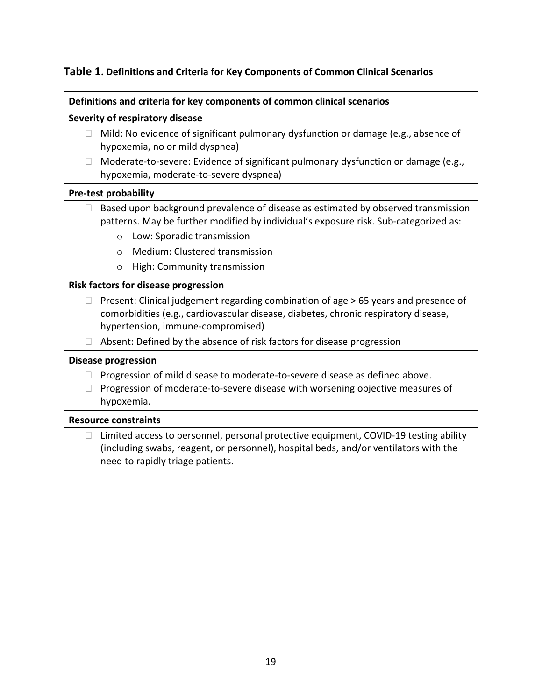## **Table 1. Definitions and Criteria for Key Components of Common Clinical Scenarios**

|        | Severity of respiratory disease                                                                                                                                                                                  |
|--------|------------------------------------------------------------------------------------------------------------------------------------------------------------------------------------------------------------------|
| $\Box$ | Mild: No evidence of significant pulmonary dysfunction or damage (e.g., absence of<br>hypoxemia, no or mild dyspnea)                                                                                             |
| ⊔      | Moderate-to-severe: Evidence of significant pulmonary dysfunction or damage (e.g.,<br>hypoxemia, moderate-to-severe dyspnea)                                                                                     |
|        | <b>Pre-test probability</b>                                                                                                                                                                                      |
|        | $\Box$ Based upon background prevalence of disease as estimated by observed transmission<br>patterns. May be further modified by individual's exposure risk. Sub-categorized as:                                 |
|        | Low: Sporadic transmission<br>$\circ$                                                                                                                                                                            |
|        | Medium: Clustered transmission<br>$\circ$                                                                                                                                                                        |
|        | High: Community transmission<br>$\circ$                                                                                                                                                                          |
|        | Risk factors for disease progression                                                                                                                                                                             |
| ⊔      | Present: Clinical judgement regarding combination of age > 65 years and presence of<br>comorbidities (e.g., cardiovascular disease, diabetes, chronic respiratory disease,<br>hypertension, immune-compromised)  |
| $\Box$ | Absent: Defined by the absence of risk factors for disease progression                                                                                                                                           |
|        | <b>Disease progression</b>                                                                                                                                                                                       |
| $\Box$ | Progression of mild disease to moderate-to-severe disease as defined above.<br>Progression of moderate-to-severe disease with worsening objective measures of<br>hypoxemia.                                      |
|        | <b>Resource constraints</b>                                                                                                                                                                                      |
| $\Box$ | Limited access to personnel, personal protective equipment, COVID-19 testing ability<br>(including swabs, reagent, or personnel), hospital beds, and/or ventilators with the<br>need to rapidly triage patients. |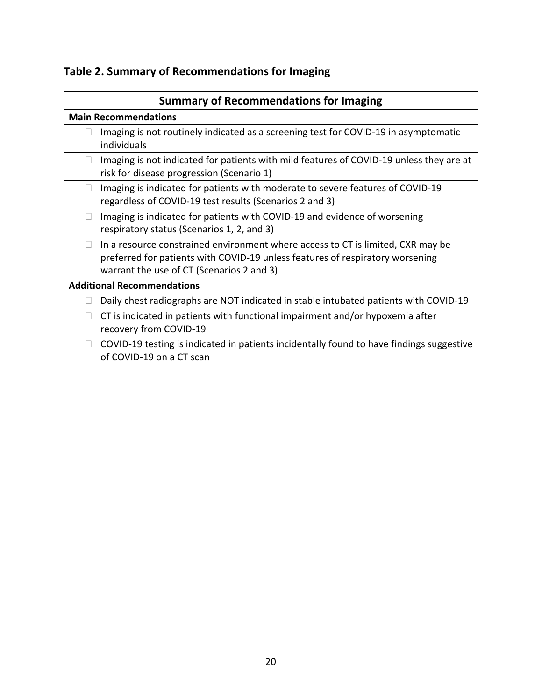# **Table 2. Summary of Recommendations for Imaging**

| individuals<br>Imaging is not indicated for patients with mild features of COVID-19 unless they are at<br>⊔<br>risk for disease progression (Scenario 1)<br>Imaging is indicated for patients with moderate to severe features of COVID-19<br>⊔<br>regardless of COVID-19 test results (Scenarios 2 and 3)<br>Imaging is indicated for patients with COVID-19 and evidence of worsening<br>$\Box$<br>respiratory status (Scenarios 1, 2, and 3)<br>In a resource constrained environment where access to CT is limited, CXR may be<br>$\mathbf{L}$<br>preferred for patients with COVID-19 unless features of respiratory worsening<br>warrant the use of CT (Scenarios 2 and 3)<br>Daily chest radiographs are NOT indicated in stable intubated patients with COVID-19<br>$\Box$<br>CT is indicated in patients with functional impairment and/or hypoxemia after<br>$\Box$<br>recovery from COVID-19<br>COVID-19 testing is indicated in patients incidentally found to have findings suggestive<br>$\Box$<br>of COVID-19 on a CT scan | Ш | <b>Main Recommendations</b><br>Imaging is not routinely indicated as a screening test for COVID-19 in asymptomatic |
|-------------------------------------------------------------------------------------------------------------------------------------------------------------------------------------------------------------------------------------------------------------------------------------------------------------------------------------------------------------------------------------------------------------------------------------------------------------------------------------------------------------------------------------------------------------------------------------------------------------------------------------------------------------------------------------------------------------------------------------------------------------------------------------------------------------------------------------------------------------------------------------------------------------------------------------------------------------------------------------------------------------------------------------------|---|--------------------------------------------------------------------------------------------------------------------|
|                                                                                                                                                                                                                                                                                                                                                                                                                                                                                                                                                                                                                                                                                                                                                                                                                                                                                                                                                                                                                                           |   |                                                                                                                    |
|                                                                                                                                                                                                                                                                                                                                                                                                                                                                                                                                                                                                                                                                                                                                                                                                                                                                                                                                                                                                                                           |   |                                                                                                                    |
|                                                                                                                                                                                                                                                                                                                                                                                                                                                                                                                                                                                                                                                                                                                                                                                                                                                                                                                                                                                                                                           |   |                                                                                                                    |
|                                                                                                                                                                                                                                                                                                                                                                                                                                                                                                                                                                                                                                                                                                                                                                                                                                                                                                                                                                                                                                           |   |                                                                                                                    |
| <b>Additional Recommendations</b>                                                                                                                                                                                                                                                                                                                                                                                                                                                                                                                                                                                                                                                                                                                                                                                                                                                                                                                                                                                                         |   |                                                                                                                    |
|                                                                                                                                                                                                                                                                                                                                                                                                                                                                                                                                                                                                                                                                                                                                                                                                                                                                                                                                                                                                                                           |   |                                                                                                                    |
|                                                                                                                                                                                                                                                                                                                                                                                                                                                                                                                                                                                                                                                                                                                                                                                                                                                                                                                                                                                                                                           |   |                                                                                                                    |
|                                                                                                                                                                                                                                                                                                                                                                                                                                                                                                                                                                                                                                                                                                                                                                                                                                                                                                                                                                                                                                           |   |                                                                                                                    |
|                                                                                                                                                                                                                                                                                                                                                                                                                                                                                                                                                                                                                                                                                                                                                                                                                                                                                                                                                                                                                                           |   |                                                                                                                    |
|                                                                                                                                                                                                                                                                                                                                                                                                                                                                                                                                                                                                                                                                                                                                                                                                                                                                                                                                                                                                                                           |   |                                                                                                                    |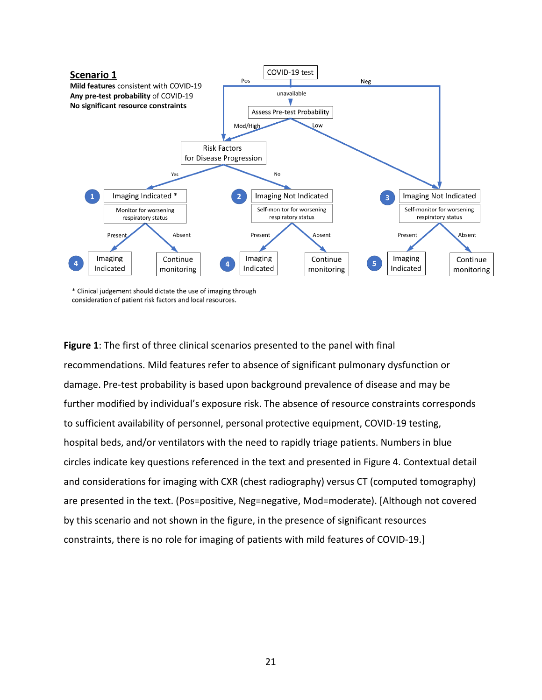

Interior students.<br>
The Disease Point Bristopher Contention Content of the Second Content of the Second Content of the Content of the Content of the Content of the Content of the Content of the Content of the Content of th **Figure 1**: The first of three clinical scenarios presented to the panel with final recommendations. Mild features refer to absence of significant pulmonary dysfunction or damage. Pre-test probability is based upon background prevalence of disease and may be further modified by individual's exposure risk. The absence of resource constraints corresponds to sufficient availability of personnel, personal protective equipment, COVID-19 testing, hospital beds, and/or ventilators with the need to rapidly triage patients. Numbers in blue circles indicate key questions referenced in the text and presented in Figure 4. Contextual detail and considerations for imaging with CXR (chest radiography) versus CT (computed tomography) are presented in the text. (Pos=positive, Neg=negative, Mod=moderate). [Although not covered by this scenario and not shown in the figure, in the presence of significant resources constraints, there is no role for imaging of patients with mild features of COVID-19.]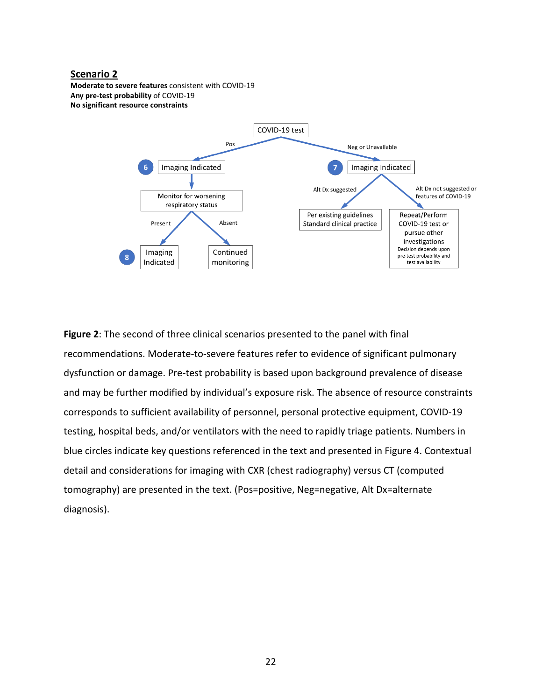### **Scenario 2**

Moderate to severe features consistent with COVID-19 Any pre-test probability of COVID-19 No significant resource constraints



IN The Content of The Content of The Content of The Content of The Content of The Content of The Content of The Content of The Content of The Content of The Content of The Content of The Content of The Content of The Cont **Figure 2**: The second of three clinical scenarios presented to the panel with final recommendations. Moderate-to-severe features refer to evidence of significant pulmonary dysfunction or damage. Pre-test probability is based upon background prevalence of disease and may be further modified by individual's exposure risk. The absence of resource constraints corresponds to sufficient availability of personnel, personal protective equipment, COVID-19 testing, hospital beds, and/or ventilators with the need to rapidly triage patients. Numbers in blue circles indicate key questions referenced in the text and presented in Figure 4. Contextual detail and considerations for imaging with CXR (chest radiography) versus CT (computed tomography) are presented in the text. (Pos=positive, Neg=negative, Alt Dx=alternate diagnosis).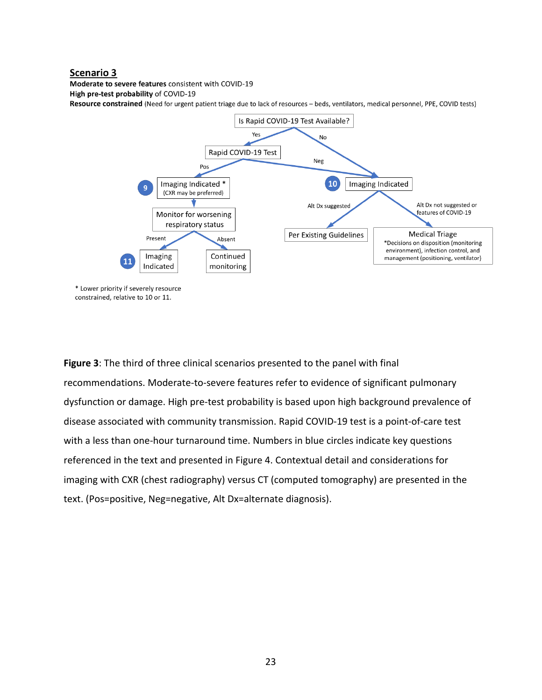### Scenario 3

Moderate to severe features consistent with COVID-19

High pre-test probability of COVID-19

Resource constrained (Need for urgent patient triage due to lack of resources - beds, ventilators, medical personnel, PPE, COVID tests)



**Figure 3**: The third of three clinical scenarios presented to the panel with final recommendations. Moderate-to-severe features refer to evidence of significant pulmonary dysfunction or damage. High pre-test probability is based upon high background prevalence of disease associated with community transmission. Rapid COVID-19 test is a point-of-care test with a less than one-hour turnaround time. Numbers in blue circles indicate key questions referenced in the text and presented in Figure 4. Contextual detail and considerations for imaging with CXR (chest radiography) versus CT (computed tomography) are presented in the text. (Pos=positive, Neg=negative, Alt Dx=alternate diagnosis).